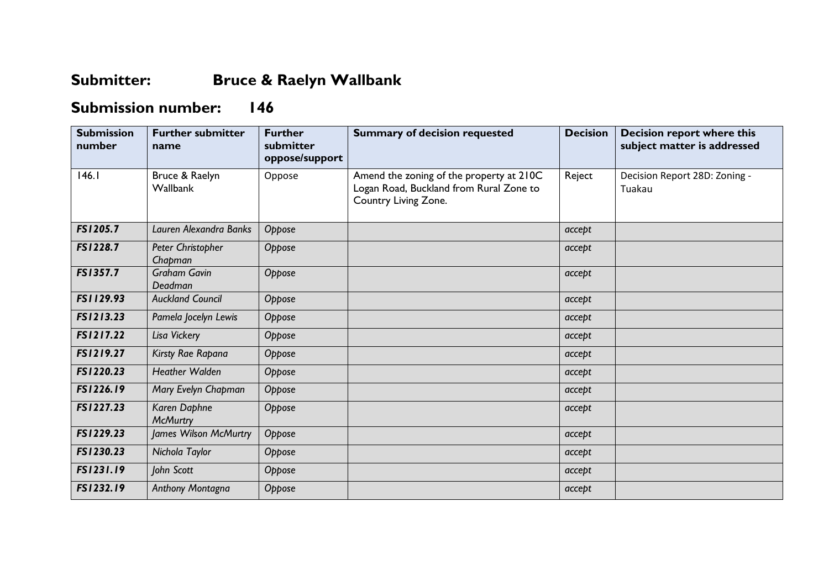## **Submitter: Bruce & Raelyn Wallbank**

## **Submission number: 146**

| <b>Submission</b><br>number | <b>Further submitter</b><br>name | <b>Further</b><br>submitter<br>oppose/support | <b>Summary of decision requested</b>                                                                        | <b>Decision</b> | Decision report where this<br>subject matter is addressed |
|-----------------------------|----------------------------------|-----------------------------------------------|-------------------------------------------------------------------------------------------------------------|-----------------|-----------------------------------------------------------|
| 146.1                       | Bruce & Raelyn<br>Wallbank       | Oppose                                        | Amend the zoning of the property at 210C<br>Logan Road, Buckland from Rural Zone to<br>Country Living Zone. | Reject          | Decision Report 28D: Zoning -<br>Tuakau                   |
| FS1205.7                    | Lauren Alexandra Banks           | Oppose                                        |                                                                                                             | accept          |                                                           |
| FS1228.7                    | Peter Christopher<br>Chapman     | Oppose                                        |                                                                                                             | accept          |                                                           |
| FS1357.7                    | <b>Graham Gavin</b><br>Deadman   | Oppose                                        |                                                                                                             | accept          |                                                           |
| FS1129.93                   | <b>Auckland Council</b>          | Oppose                                        |                                                                                                             | accept          |                                                           |
| FS1213.23                   | Pamela Jocelyn Lewis             | Oppose                                        |                                                                                                             | accept          |                                                           |
| FS1217.22                   | Lisa Vickery                     | Oppose                                        |                                                                                                             | accept          |                                                           |
| FS1219.27                   | Kirsty Rae Rapana                | Oppose                                        |                                                                                                             | accept          |                                                           |
| FS1220.23                   | <b>Heather Walden</b>            | Oppose                                        |                                                                                                             | accept          |                                                           |
| FS1226.19                   | Mary Evelyn Chapman              | Oppose                                        |                                                                                                             | accept          |                                                           |
| FS1227.23                   | Karen Daphne<br><b>McMurtry</b>  | Oppose                                        |                                                                                                             | accept          |                                                           |
| FS1229.23                   | James Wilson McMurtry            | Oppose                                        |                                                                                                             | accept          |                                                           |
| FS1230.23                   | Nichola Taylor                   | Oppose                                        |                                                                                                             | accept          |                                                           |
| FS1231.19                   | John Scott                       | Oppose                                        |                                                                                                             | accept          |                                                           |
| FS1232.19                   | Anthony Montagna                 | Oppose                                        |                                                                                                             | accept          |                                                           |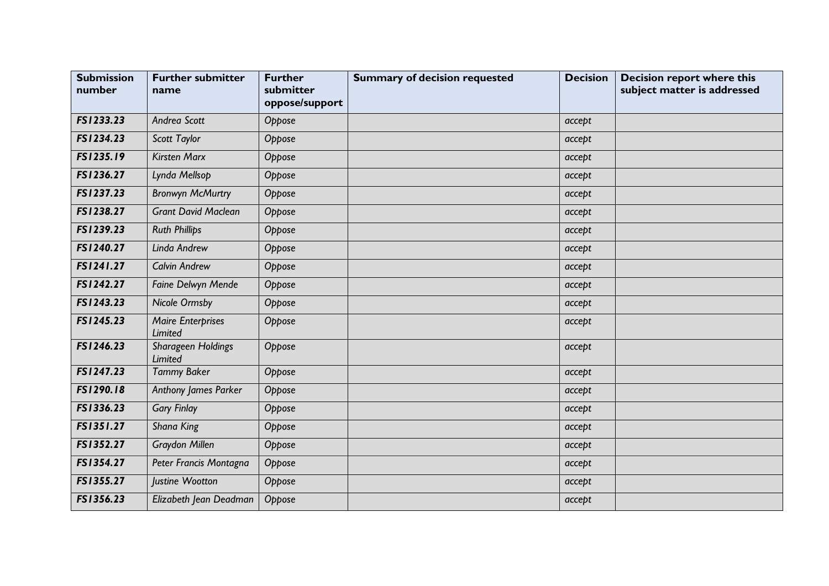| <b>Submission</b><br>number | <b>Further submitter</b><br>name     | <b>Further</b><br>submitter<br>oppose/support | <b>Summary of decision requested</b> | <b>Decision</b> | <b>Decision report where this</b><br>subject matter is addressed |
|-----------------------------|--------------------------------------|-----------------------------------------------|--------------------------------------|-----------------|------------------------------------------------------------------|
| FS1233.23                   | Andrea Scott                         | Oppose                                        |                                      | accept          |                                                                  |
| FS1234.23                   | Scott Taylor                         | Oppose                                        |                                      | accept          |                                                                  |
| FS1235.19                   | <b>Kirsten Marx</b>                  | Oppose                                        |                                      | accept          |                                                                  |
| FS1236.27                   | Lynda Mellsop                        | Oppose                                        |                                      | accept          |                                                                  |
| FS1237.23                   | <b>Bronwyn McMurtry</b>              | Oppose                                        |                                      | accept          |                                                                  |
| FS1238.27                   | <b>Grant David Maclean</b>           | Oppose                                        |                                      | accept          |                                                                  |
| FS1239.23                   | <b>Ruth Phillips</b>                 | Oppose                                        |                                      | accept          |                                                                  |
| FS1240.27                   | Linda Andrew                         | Oppose                                        |                                      | accept          |                                                                  |
| FS1241.27                   | <b>Calvin Andrew</b>                 | Oppose                                        |                                      | accept          |                                                                  |
| FS1242.27                   | Faine Delwyn Mende                   | Oppose                                        |                                      | accept          |                                                                  |
| FS1243.23                   | <b>Nicole Ormsby</b>                 | Oppose                                        |                                      | accept          |                                                                  |
| FS1245.23                   | <b>Maire Enterprises</b><br>Limited  | Oppose                                        |                                      | accept          |                                                                  |
| FS1246.23                   | Sharageen Holdings<br><b>Limited</b> | Oppose                                        |                                      | accept          |                                                                  |
| FS1247.23                   | <b>Tammy Baker</b>                   | Oppose                                        |                                      | accept          |                                                                  |
| FS1290.18                   | <b>Anthony James Parker</b>          | Oppose                                        |                                      | accept          |                                                                  |
| FS1336.23                   | <b>Gary Finlay</b>                   | Oppose                                        |                                      | accept          |                                                                  |
| FS1351.27                   | Shana King                           | Oppose                                        |                                      | accept          |                                                                  |
| FS1352.27                   | <b>Graydon Millen</b>                | Oppose                                        |                                      | accept          |                                                                  |
| FS1354.27                   | Peter Francis Montagna               | Oppose                                        |                                      | accept          |                                                                  |
| FS1355.27                   | Justine Wootton                      | Oppose                                        |                                      | accept          |                                                                  |
| FS1356.23                   | Elizabeth Jean Deadman               | Oppose                                        |                                      | accept          |                                                                  |